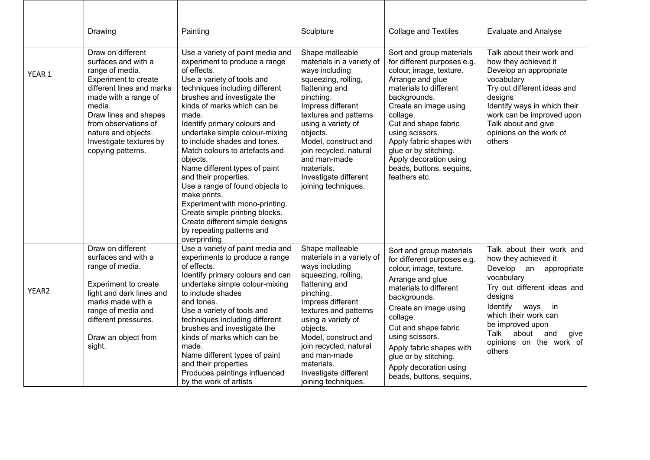|        | Drawing                                                                                                                                                                                                                                                                    | Painting                                                                                                                                                                                                                                                                                                                                                                                                                                                                                                                                                                                                                                 | Sculpture                                                                                                                                                                                                                                                                                                                            | <b>Collage and Textiles</b>                                                                                                                                                                                                                                                                                                                                  | <b>Evaluate and Analyse</b>                                                                                                                                                                                                                                                    |
|--------|----------------------------------------------------------------------------------------------------------------------------------------------------------------------------------------------------------------------------------------------------------------------------|------------------------------------------------------------------------------------------------------------------------------------------------------------------------------------------------------------------------------------------------------------------------------------------------------------------------------------------------------------------------------------------------------------------------------------------------------------------------------------------------------------------------------------------------------------------------------------------------------------------------------------------|--------------------------------------------------------------------------------------------------------------------------------------------------------------------------------------------------------------------------------------------------------------------------------------------------------------------------------------|--------------------------------------------------------------------------------------------------------------------------------------------------------------------------------------------------------------------------------------------------------------------------------------------------------------------------------------------------------------|--------------------------------------------------------------------------------------------------------------------------------------------------------------------------------------------------------------------------------------------------------------------------------|
| YEAR 1 | Draw on different<br>surfaces and with a<br>range of media.<br>Experiment to create<br>different lines and marks<br>made with a range of<br>media.<br>Draw lines and shapes<br>from observations of<br>nature and objects.<br>Investigate textures by<br>copying patterns. | Use a variety of paint media and<br>experiment to produce a range<br>of effects.<br>Use a variety of tools and<br>techniques including different<br>brushes and investigate the<br>kinds of marks which can be<br>made.<br>Identify primary colours and<br>undertake simple colour-mixing<br>to include shades and tones.<br>Match colours to artefacts and<br>objects.<br>Name different types of paint<br>and their properties.<br>Use a range of found objects to<br>make prints.<br>Experiment with mono-printing.<br>Create simple printing blocks.<br>Create different simple designs<br>by repeating patterns and<br>overprinting | Shape malleable<br>materials in a variety of<br>ways including<br>squeezing, rolling,<br>flattening and<br>pinching.<br>Impress different<br>textures and patterns<br>using a variety of<br>objects.<br>Model, construct and<br>join recycled, natural<br>and man-made<br>materials.<br>Investigate different<br>joining techniques. | Sort and group materials<br>for different purposes e.g.<br>colour, image, texture.<br>Arrange and glue<br>materials to different<br>backgrounds.<br>Create an image using<br>collage.<br>Cut and shape fabric<br>using scissors.<br>Apply fabric shapes with<br>glue or by stitching.<br>Apply decoration using<br>beads, buttons, sequins,<br>feathers etc. | Talk about their work and<br>how they achieved it<br>Develop an appropriate<br>vocabulary<br>Try out different ideas and<br>designs<br>Identify ways in which their<br>work can be improved upon<br>Talk about and give<br>opinions on the work of<br>others                   |
| YEAR2  | Draw on different<br>surfaces and with a<br>range of media.<br>Experiment to create<br>light and dark lines and<br>marks made with a<br>range of media and<br>different pressures.<br>Draw an object from<br>sight.                                                        | Use a variety of paint media and<br>experiments to produce a range<br>of effects.<br>Identify primary colours and can<br>undertake simple colour-mixing<br>to include shades<br>and tones.<br>Use a variety of tools and<br>techniques including different<br>brushes and investigate the<br>kinds of marks which can be<br>made.<br>Name different types of paint<br>and their properties<br>Produces paintings influenced<br>by the work of artists                                                                                                                                                                                    | Shape malleable<br>materials in a variety of<br>ways including<br>squeezing, rolling,<br>flattening and<br>pinching.<br>Impress different<br>textures and patterns<br>using a variety of<br>objects.<br>Model, construct and<br>join recycled, natural<br>and man-made<br>materials.<br>Investigate different<br>joining techniques. | Sort and group materials<br>for different purposes e.g.<br>colour, image, texture.<br>Arrange and glue<br>materials to different<br>backgrounds.<br>Create an image using<br>collage.<br>Cut and shape fabric<br>using scissors.<br>Apply fabric shapes with<br>glue or by stitching.<br>Apply decoration using<br>beads, buttons, sequins,                  | Talk about their work and<br>how they achieved it<br>Develop an appropriate<br>vocabulary<br>Try out different ideas and<br>designs<br>Identify<br>ways<br>in<br>which their work can<br>be improved upon<br>Talk<br>about<br>and<br>give<br>opinions on the work of<br>others |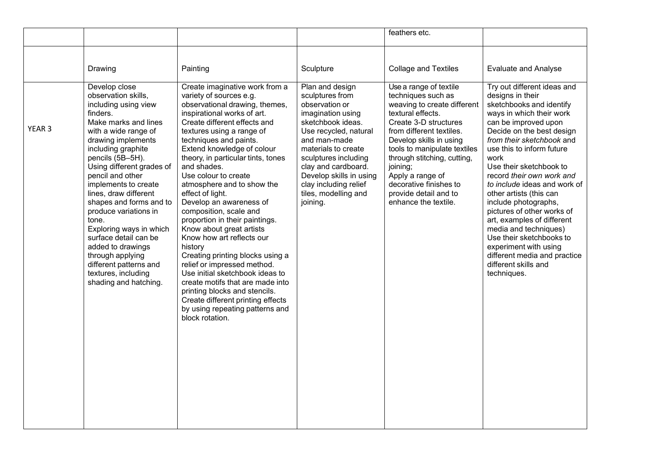|                   |                                                                                                                                                                                                                                                                                                                                                                                                                                                                                                                                |                                                                                                                                                                                                                                                                                                                                                                                                                                                                                                                                                                                                                                                                                                                                                                                                                 |                                                                                                                                                                                                                                                                                                       | feathers etc.                                                                                                                                                                                                                                                                                                                                              |                                                                                                                                                                                                                                                                                                                                                                                                                                                                                                                                                                                            |
|-------------------|--------------------------------------------------------------------------------------------------------------------------------------------------------------------------------------------------------------------------------------------------------------------------------------------------------------------------------------------------------------------------------------------------------------------------------------------------------------------------------------------------------------------------------|-----------------------------------------------------------------------------------------------------------------------------------------------------------------------------------------------------------------------------------------------------------------------------------------------------------------------------------------------------------------------------------------------------------------------------------------------------------------------------------------------------------------------------------------------------------------------------------------------------------------------------------------------------------------------------------------------------------------------------------------------------------------------------------------------------------------|-------------------------------------------------------------------------------------------------------------------------------------------------------------------------------------------------------------------------------------------------------------------------------------------------------|------------------------------------------------------------------------------------------------------------------------------------------------------------------------------------------------------------------------------------------------------------------------------------------------------------------------------------------------------------|--------------------------------------------------------------------------------------------------------------------------------------------------------------------------------------------------------------------------------------------------------------------------------------------------------------------------------------------------------------------------------------------------------------------------------------------------------------------------------------------------------------------------------------------------------------------------------------------|
|                   | Drawing                                                                                                                                                                                                                                                                                                                                                                                                                                                                                                                        | Painting                                                                                                                                                                                                                                                                                                                                                                                                                                                                                                                                                                                                                                                                                                                                                                                                        | Sculpture                                                                                                                                                                                                                                                                                             | <b>Collage and Textiles</b>                                                                                                                                                                                                                                                                                                                                | <b>Evaluate and Analyse</b>                                                                                                                                                                                                                                                                                                                                                                                                                                                                                                                                                                |
| YEAR <sub>3</sub> | Develop close<br>observation skills,<br>including using view<br>finders.<br>Make marks and lines<br>with a wide range of<br>drawing implements<br>including graphite<br>pencils (5B-5H).<br>Using different grades of<br>pencil and other<br>implements to create<br>lines, draw different<br>shapes and forms and to<br>produce variations in<br>tone.<br>Exploring ways in which<br>surface detail can be<br>added to drawings<br>through applying<br>different patterns and<br>textures, including<br>shading and hatching. | Create imaginative work from a<br>variety of sources e.g.<br>observational drawing, themes,<br>inspirational works of art.<br>Create different effects and<br>textures using a range of<br>techniques and paints.<br>Extend knowledge of colour<br>theory, in particular tints, tones<br>and shades.<br>Use colour to create<br>atmosphere and to show the<br>effect of light.<br>Develop an awareness of<br>composition, scale and<br>proportion in their paintings.<br>Know about great artists<br>Know how art reflects our<br>history<br>Creating printing blocks using a<br>relief or impressed method.<br>Use initial sketchbook ideas to<br>create motifs that are made into<br>printing blocks and stencils.<br>Create different printing effects<br>by using repeating patterns and<br>block rotation. | Plan and design<br>sculptures from<br>observation or<br>imagination using<br>sketchbook ideas.<br>Use recycled, natural<br>and man-made<br>materials to create<br>sculptures including<br>clay and cardboard.<br>Develop skills in using<br>clay including relief<br>tiles, modelling and<br>joining. | Use a range of textile<br>techniques such as<br>weaving to create different<br>textural effects.<br>Create 3-D structures<br>from different textiles.<br>Develop skills in using<br>tools to manipulate textiles<br>through stitching, cutting,<br>joining;<br>Apply a range of<br>decorative finishes to<br>provide detail and to<br>enhance the textile. | Try out different ideas and<br>designs in their<br>sketchbooks and identify<br>ways in which their work<br>can be improved upon<br>Decide on the best design<br>from their sketchbook and<br>use this to inform future<br>work<br>Use their sketchbook to<br>record their own work and<br>to include ideas and work of<br>other artists (this can<br>include photographs,<br>pictures of other works of<br>art, examples of different<br>media and techniques)<br>Use their sketchbooks to<br>experiment with using<br>different media and practice<br>different skills and<br>techniques. |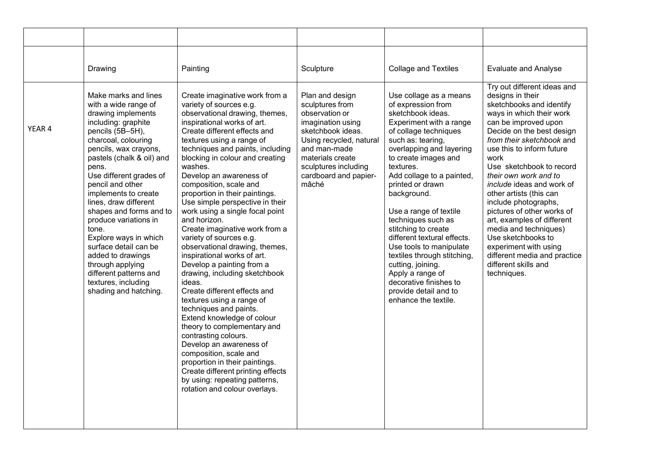|        | Drawing                                                                                                                                                                                                                                                                                                                                                                                                                                                                                                                               | Painting                                                                                                                                                                                                                                                                                                                                                                                                                                                                                                                                                                                                                                                                                                                                                                                                                                                                                                                                                                                                                               | Sculpture                                                                                                                                                                                                               | <b>Collage and Textiles</b>                                                                                                                                                                                                                                                                                                                                                                                                                                                                                                                                     | <b>Evaluate and Analyse</b>                                                                                                                                                                                                                                                                                                                                                                                                                                                                                                                                                           |
|--------|---------------------------------------------------------------------------------------------------------------------------------------------------------------------------------------------------------------------------------------------------------------------------------------------------------------------------------------------------------------------------------------------------------------------------------------------------------------------------------------------------------------------------------------|----------------------------------------------------------------------------------------------------------------------------------------------------------------------------------------------------------------------------------------------------------------------------------------------------------------------------------------------------------------------------------------------------------------------------------------------------------------------------------------------------------------------------------------------------------------------------------------------------------------------------------------------------------------------------------------------------------------------------------------------------------------------------------------------------------------------------------------------------------------------------------------------------------------------------------------------------------------------------------------------------------------------------------------|-------------------------------------------------------------------------------------------------------------------------------------------------------------------------------------------------------------------------|-----------------------------------------------------------------------------------------------------------------------------------------------------------------------------------------------------------------------------------------------------------------------------------------------------------------------------------------------------------------------------------------------------------------------------------------------------------------------------------------------------------------------------------------------------------------|---------------------------------------------------------------------------------------------------------------------------------------------------------------------------------------------------------------------------------------------------------------------------------------------------------------------------------------------------------------------------------------------------------------------------------------------------------------------------------------------------------------------------------------------------------------------------------------|
| YEAR 4 | Make marks and lines<br>with a wide range of<br>drawing implements<br>including: graphite<br>pencils (5B-5H),<br>charcoal, colouring<br>pencils, wax crayons,<br>pastels (chalk & oil) and<br>pens.<br>Use different grades of<br>pencil and other<br>implements to create<br>lines, draw different<br>shapes and forms and to<br>produce variations in<br>tone.<br>Explore ways in which<br>surface detail can be<br>added to drawings<br>through applying<br>different patterns and<br>textures, including<br>shading and hatching. | Create imaginative work from a<br>variety of sources e.g.<br>observational drawing, themes,<br>inspirational works of art.<br>Create different effects and<br>textures using a range of<br>techniques and paints, including<br>blocking in colour and creating<br>washes.<br>Develop an awareness of<br>composition, scale and<br>proportion in their paintings.<br>Use simple perspective in their<br>work using a single focal point<br>and horizon.<br>Create imaginative work from a<br>variety of sources e.g.<br>observational drawing, themes,<br>inspirational works of art.<br>Develop a painting from a<br>drawing, including sketchbook<br>ideas.<br>Create different effects and<br>textures using a range of<br>techniques and paints.<br>Extend knowledge of colour<br>theory to complementary and<br>contrasting colours.<br>Develop an awareness of<br>composition, scale and<br>proportion in their paintings.<br>Create different printing effects<br>by using: repeating patterns,<br>rotation and colour overlays. | Plan and design<br>sculptures from<br>observation or<br>imagination using<br>sketchbook ideas.<br>Using recycled, natural<br>and man-made<br>materials create<br>sculptures including<br>cardboard and papier-<br>mâché | Use collage as a means<br>of expression from<br>sketchbook ideas.<br>Experiment with a range<br>of collage techniques<br>such as: tearing,<br>overlapping and layering<br>to create images and<br>textures.<br>Add collage to a painted,<br>printed or drawn<br>background.<br>Use a range of textile<br>techniques such as<br>stitching to create<br>different textural effects.<br>Use tools to manipulate<br>textiles through stitching,<br>cutting, joining.<br>Apply a range of<br>decorative finishes to<br>provide detail and to<br>enhance the textile. | Try out different ideas and<br>designs in their<br>sketchbooks and identify<br>ways in which their work<br>can be improved upon<br>Decide on the best design<br>from their sketchbook and<br>use this to inform future<br>work<br>Use sketchbook to record<br>their own work and to<br><i>include</i> ideas and work of<br>other artists (this can<br>include photographs,<br>pictures of other works of<br>art, examples of different<br>media and techniques)<br>Use sketchbooks to<br>experiment with using<br>different media and practice<br>different skills and<br>techniques. |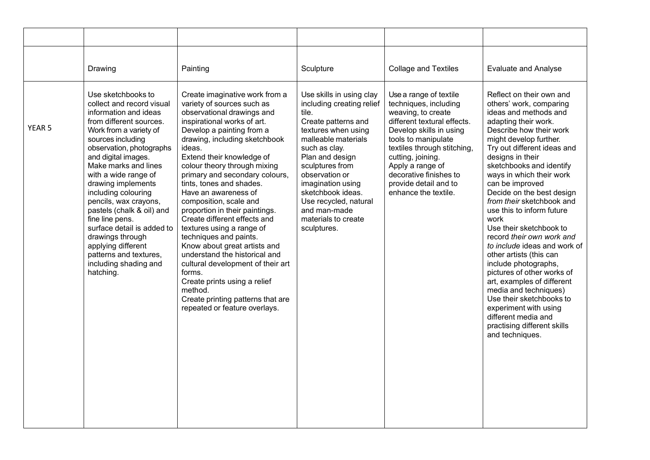|                   | Drawing                                                                                                                                                                                                                                                                                                                                                                                                                                                                                                             | Painting                                                                                                                                                                                                                                                                                                                                                                                                                                                                                                                                                                                                                                                                                                                                 | Sculpture                                                                                                                                                                                                                                                                                                                             | <b>Collage and Textiles</b>                                                                                                                                                                                                                                                                               | <b>Evaluate and Analyse</b>                                                                                                                                                                                                                                                                                                                                                                                                                                                                                                                                                                                                                                                                                                                          |
|-------------------|---------------------------------------------------------------------------------------------------------------------------------------------------------------------------------------------------------------------------------------------------------------------------------------------------------------------------------------------------------------------------------------------------------------------------------------------------------------------------------------------------------------------|------------------------------------------------------------------------------------------------------------------------------------------------------------------------------------------------------------------------------------------------------------------------------------------------------------------------------------------------------------------------------------------------------------------------------------------------------------------------------------------------------------------------------------------------------------------------------------------------------------------------------------------------------------------------------------------------------------------------------------------|---------------------------------------------------------------------------------------------------------------------------------------------------------------------------------------------------------------------------------------------------------------------------------------------------------------------------------------|-----------------------------------------------------------------------------------------------------------------------------------------------------------------------------------------------------------------------------------------------------------------------------------------------------------|------------------------------------------------------------------------------------------------------------------------------------------------------------------------------------------------------------------------------------------------------------------------------------------------------------------------------------------------------------------------------------------------------------------------------------------------------------------------------------------------------------------------------------------------------------------------------------------------------------------------------------------------------------------------------------------------------------------------------------------------------|
| YEAR <sub>5</sub> | Use sketchbooks to<br>collect and record visual<br>information and ideas<br>from different sources.<br>Work from a variety of<br>sources including<br>observation, photographs<br>and digital images.<br>Make marks and lines<br>with a wide range of<br>drawing implements<br>including colouring<br>pencils, wax crayons,<br>pastels (chalk & oil) and<br>fine line pens.<br>surface detail is added to<br>drawings through<br>applying different<br>patterns and textures,<br>including shading and<br>hatching. | Create imaginative work from a<br>variety of sources such as<br>observational drawings and<br>inspirational works of art.<br>Develop a painting from a<br>drawing, including sketchbook<br>ideas.<br>Extend their knowledge of<br>colour theory through mixing<br>primary and secondary colours,<br>tints, tones and shades.<br>Have an awareness of<br>composition, scale and<br>proportion in their paintings.<br>Create different effects and<br>textures using a range of<br>techniques and paints.<br>Know about great artists and<br>understand the historical and<br>cultural development of their art<br>forms.<br>Create prints using a relief<br>method.<br>Create printing patterns that are<br>repeated or feature overlays. | Use skills in using clay<br>including creating relief<br>tile.<br>Create patterns and<br>textures when using<br>malleable materials<br>such as clay.<br>Plan and design<br>sculptures from<br>observation or<br>imagination using<br>sketchbook ideas.<br>Use recycled, natural<br>and man-made<br>materials to create<br>sculptures. | Use a range of textile<br>techniques, including<br>weaving, to create<br>different textural effects.<br>Develop skills in using<br>tools to manipulate<br>textiles through stitching,<br>cutting, joining.<br>Apply a range of<br>decorative finishes to<br>provide detail and to<br>enhance the textile. | Reflect on their own and<br>others' work, comparing<br>ideas and methods and<br>adapting their work.<br>Describe how their work<br>might develop further.<br>Try out different ideas and<br>designs in their<br>sketchbooks and identify<br>ways in which their work<br>can be improved<br>Decide on the best design<br>from their sketchbook and<br>use this to inform future<br>work<br>Use their sketchbook to<br>record their own work and<br>to include ideas and work of<br>other artists (this can<br>include photographs,<br>pictures of other works of<br>art, examples of different<br>media and techniques)<br>Use their sketchbooks to<br>experiment with using<br>different media and<br>practising different skills<br>and techniques. |
|                   |                                                                                                                                                                                                                                                                                                                                                                                                                                                                                                                     |                                                                                                                                                                                                                                                                                                                                                                                                                                                                                                                                                                                                                                                                                                                                          |                                                                                                                                                                                                                                                                                                                                       |                                                                                                                                                                                                                                                                                                           |                                                                                                                                                                                                                                                                                                                                                                                                                                                                                                                                                                                                                                                                                                                                                      |